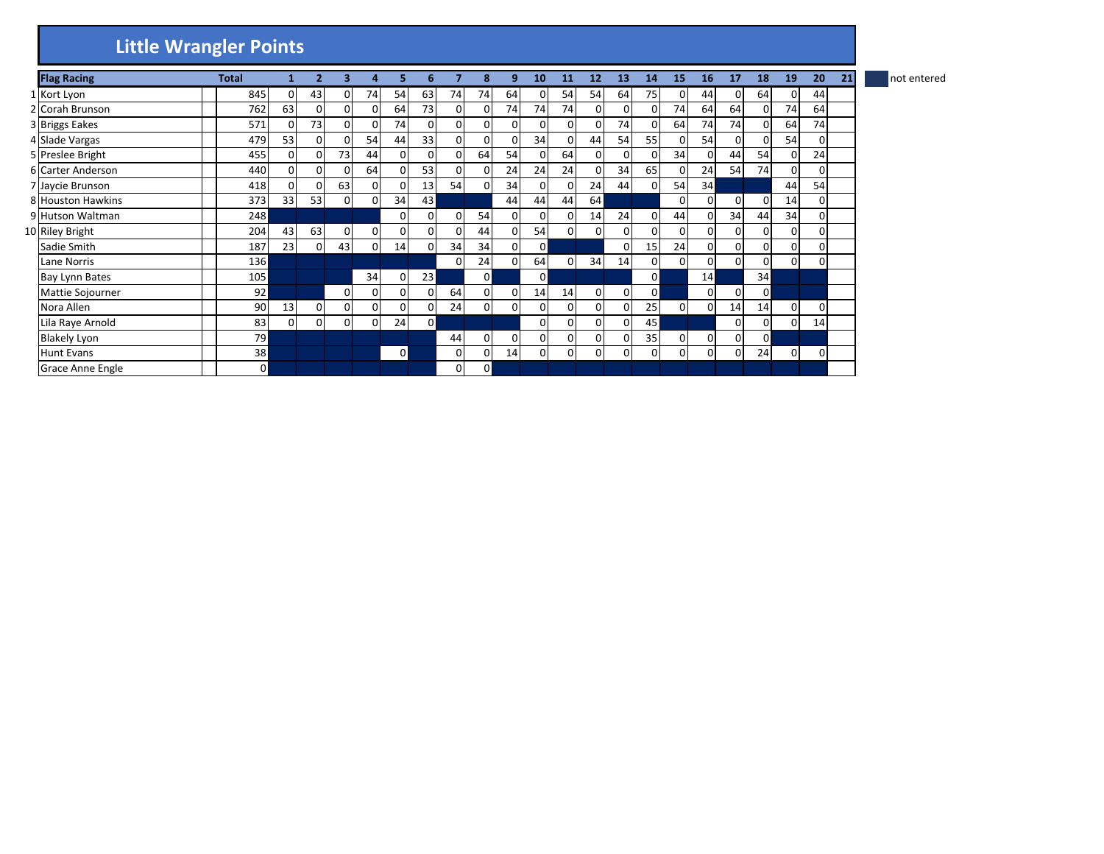| <b>Little Wrangler Points</b> |
|-------------------------------|
|-------------------------------|

| <b>Flag Racing</b>    | <b>Total</b> |    |          | з            |                |          | 6  |             | 8              | 9  | 10       | 11             | 12             | 13       | 14             | 15           | 16             | 17       | 18             | 19             | 20 | 21 | not entered |
|-----------------------|--------------|----|----------|--------------|----------------|----------|----|-------------|----------------|----|----------|----------------|----------------|----------|----------------|--------------|----------------|----------|----------------|----------------|----|----|-------------|
| 1 Kort Lyon           | 845          | 01 | 43       | 0            | 74             | 54       | 63 | 74          | 74             | 64 | 0        | 54             | 54             | 64       | 75             | <sup>o</sup> | 44             | 0        | 64             | 0              | 44 |    |             |
| 2 Corah Brunson       | 762          | 63 | $\Omega$ | $\Omega$     |                | 64       | 73 | $\mathbf 0$ | 0              | 74 | 74       | 74             | 0              | $\Omega$ | $\Omega$       | 74           | 64             | 64       | $\mathbf{0}$   | 74             | 64 |    |             |
| 3 Briggs Eakes        | 571          | 0  | 73       | $\Omega$     |                | 74       |    | $\mathbf 0$ | $\overline{0}$ | 0  | 0        | $\Omega$       | $\Omega$       | 74       | 0              | 64           | 74             | 74       | $\Omega$       | 64             | 74 |    |             |
| 4 Slade Vargas        | 479          | 53 | $\Omega$ | <sup>0</sup> | 54             | 44       | 33 | $\mathbf 0$ | 0              | 0  | 34       | $\Omega$       | 44             | 54       | 55             |              | 54             | 01       | 0              | 54             | 0  |    |             |
| 5 Preslee Bright      | 455          | 01 | 0.       | 73           | 44             | $\Omega$ |    | $\mathbf 0$ | 64             | 54 | 0        | 64             | 0              | 0        | $\Omega$       | 34           | $\Omega$       | 44       | 54             |                | 24 |    |             |
| 6 Carter Anderson     | 440          | οI | $\Omega$ | <sup>0</sup> | 64             | 0        | 53 | $\Omega$    | 0              | 24 | 24       | 24             | $\overline{0}$ | 34       | 65             |              | 24             | 54       | 74             | $\Omega$       | 0  |    |             |
| 7 Jaycie Brunson      | 418          | οı | $\Omega$ | 63           |                | 0        | 13 | 54          | 0              | 34 | 0        | $\mathbf{0}$   | 24             | 44       | <sup>0</sup>   | 54           | 34             |          |                | 44             | 54 |    |             |
| 8 Houston Hawkins     | 373          | 33 | 53       | $\Omega$     | $\Omega$       | 34       | 43 |             |                | 44 | 44       | 44             | 64             |          |                |              | $\Omega$       | $\Omega$ | $\Omega$       | 14             | 0  |    |             |
| 9 Hutson Waltman      | 248          |    |          |              |                | 0        |    | $\mathbf 0$ | 54             | 0  | 0        | $\mathbf{0}$   | 14             | 24       | $\Omega$       | 44           | $\overline{0}$ | 34       | 44             | 34             | 0  |    |             |
| 10 Riley Bright       | 204          | 43 | 63       | $\Omega$     | $\overline{0}$ | 0        |    | 0           | 44             | 0  | 54       | $\overline{0}$ | 0              | $\Omega$ | 0              |              | $\overline{0}$ | 0        | $\overline{0}$ |                | 0  |    |             |
| Sadie Smith           | 187          | 23 | $\Omega$ | 43           |                | 14       |    | 34          | 34             | 0  | 0        |                |                |          | 15             | 24           | $\Omega$       | 0        | 0              |                | 0  |    |             |
| Lane Norris           | 136          |    |          |              |                |          |    | $\Omega$    | 24             | 0  | 64       | $\Omega$       | 34             | 14       | $\Omega$       |              | $\Omega$       | $\Omega$ | $\Omega$       | 0l             | 0  |    |             |
| <b>Bay Lynn Bates</b> | 105          |    |          |              | 34             | 0        | 23 |             | $\mathbf{0}$   |    | $\Omega$ |                |                |          | $\Omega$       |              | 14             |          | 34             |                |    |    |             |
| Mattie Sojourner      | 92           |    |          | $\Omega$     |                | 0        |    | 64          | $\mathbf{0}$   | 0  | 14       | 14             | 0              | $\Omega$ | $\overline{0}$ |              | $\Omega$       | 0        | $\overline{0}$ |                |    |    |             |
| Nora Allen            | 90           | 13 | $\Omega$ | $\Omega$     |                | 0        |    | 24          | $\overline{0}$ | 0  | 0        | $\Omega$       | 0              | $\Omega$ | 25             | $\Omega$     | $\Omega$       | 14       | 14             | $\Omega$       | 0  |    |             |
| Lila Raye Arnold      | 83           | 0  | 0        | $\Omega$     | $\Omega$       | 24       | 0  |             |                |    | 0        | $\overline{0}$ | 0              | 0.       | 45             |              |                | 0        | $\overline{0}$ | 0              | 14 |    |             |
| <b>Blakely Lyon</b>   | 79           |    |          |              |                |          |    | 44          | 0              | 0  | 0        | $\Omega$       | 0              |          | 35             |              | 0              | $\Omega$ | $\overline{0}$ |                |    |    |             |
| <b>Hunt Evans</b>     | 38           |    |          |              |                | ΟI       |    | 0           | 0              | 14 | 0        | $\overline{0}$ | 0              | οı       | $\mathbf 0$    | $\Omega$     | $\overline{0}$ | 01       | 24             | $\overline{0}$ | 0  |    |             |
| Grace Anne Engle      | $\Omega$     |    |          |              |                |          |    | $\Omega$    | $\overline{0}$ |    |          |                |                |          |                |              |                |          |                |                |    |    |             |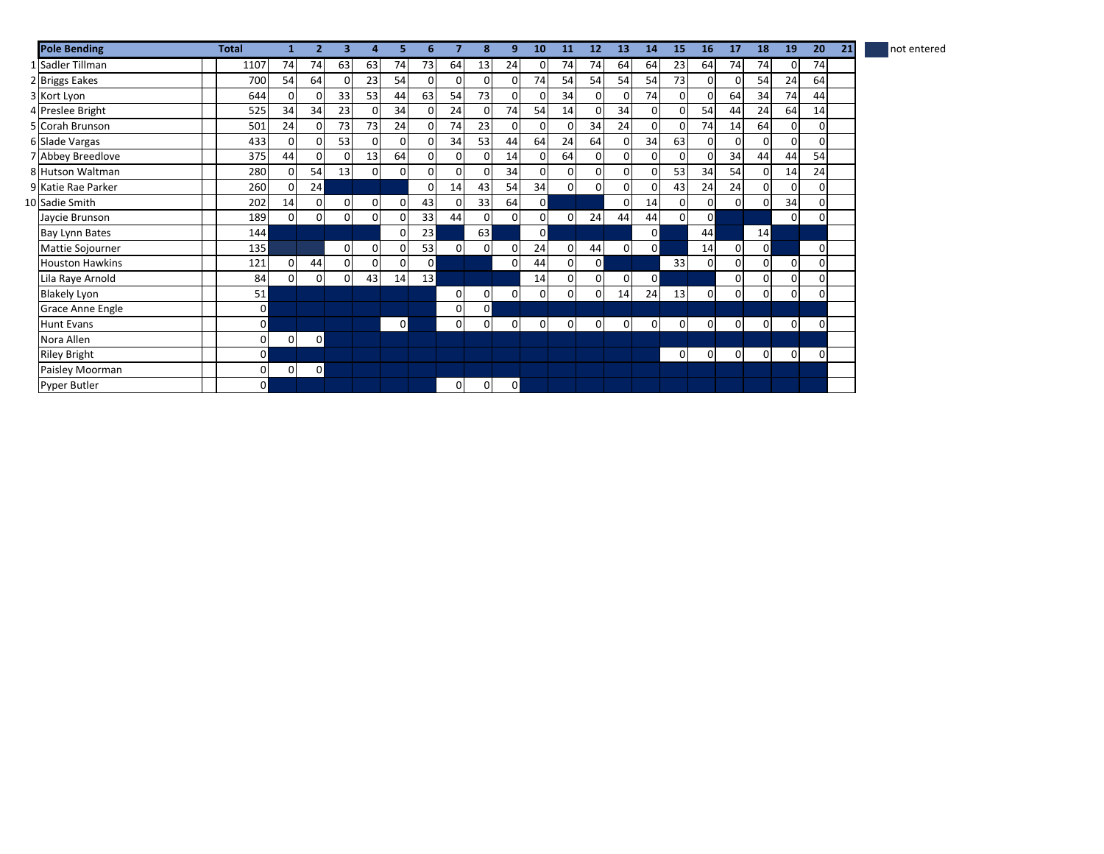| <b>Pole Bending</b>     | <b>Total</b>   |                | 2              | 3.             | 4              | 5            | 6              |                | 8            | 9              | 10             | 11           | 12             | 13       | 14 | 15             | 16             | 17       | 18             | 19             | 20          | 21 | not entered |
|-------------------------|----------------|----------------|----------------|----------------|----------------|--------------|----------------|----------------|--------------|----------------|----------------|--------------|----------------|----------|----|----------------|----------------|----------|----------------|----------------|-------------|----|-------------|
| 1 Sadler Tillman        | 1107           | 74             | 74             | 63             | 63             | 74           | 73             | 64             | 13           | 24             | $\Omega$       | 74           | 74             | 64       | 64 | 23             | 64             | 74       | 74             | $\Omega$       | 74          |    |             |
| 2 Briggs Eakes          | 700            | 54             | 64             | 0              | 23             | 54           |                | 0              | 0            | $\overline{0}$ | 74             | 54           | 54             | 54       | 54 | 73             | 0              | 0        | 54             | 24             | 64          |    |             |
| 3 Kort Lyon             | 644            | $\Omega$       | 0              | 33             | 53             | 44           | 63             | 54             | 73           | $\Omega$       | ٥I             | 34           | $\Omega$       | $\Omega$ | 74 | $\Omega$       | $\Omega$       | 64       | 34             | 74             | 44          |    |             |
| 4 Preslee Bright        | 525            | 34             | 34             | 23             | οı             | 34           |                | 24             |              | 74             | 54             | 14           | 0              | 34       | 0  | $\Omega$       | 54             | 44       | 24             | 64             | 14          |    |             |
| 5 Corah Brunson         | 501            | 24             | $\Omega$       | 73             | 73             | 24           |                | 74             | 23           | $\overline{0}$ | ٥I             | $\mathbf 0$  | 34             | 24       | 0  | $\Omega$       | 74             | 14       | 64             | 0              | $\Omega$    |    |             |
| 6 Slade Vargas          | 433            | 0              | $\Omega$       | 53             | $\mathbf{0}$   | 0            |                | 34             | 53           | 44             | 64             | 24           | 64             | $\Omega$ | 34 | 63             | 0              | $\Omega$ | 0              | 0              | 0           |    |             |
| 7 Abbey Breedlove       | 375            | 44             | $\Omega$       | $\Omega$       | 13             | 64           |                | $\Omega$       | 0            | 14             | ٥I             | 64           | $\Omega$       | $\Omega$ | 0  | $\Omega$       | $\Omega$       | 34       | 44             | 44             | 54          |    |             |
| 8 Hutson Waltman        | 280            | 0              | 54             | 13             | $\mathbf{0}$   | 0            |                | 0              | 0            | 34             | ٥I             | $\mathbf 0$  | $\Omega$       | 0        | 0  | 53             | 34             | 54       | $\overline{0}$ | 14             | 24          |    |             |
| 9 Katie Rae Parker      | 260            | $\Omega$       | 24             |                |                |              |                | 14             | 43           | 54             | 34             | $\mathbf{0}$ | 0              | $\Omega$ | 0  | 43             | 24             | 24       | 0              |                | 0           |    |             |
| 10 Sadie Smith          | 202            | 14             | $\overline{0}$ | 0              | $\mathbf{0}$   | 0            | 43             | 0              | 33           | 64             | $\mathbf{0}$   |              |                | 0        | 14 | $\overline{0}$ | $\mathsf{o}$   | 0        | 0              | 34             | $\Omega$    |    |             |
| Jaycie Brunson          | 189            | 0              | 0              | $\overline{0}$ | $\overline{0}$ | 0            | 33             | 44             | 0            | $\overline{0}$ | ٥I             | $\mathbf 0$  | 24             | 44       | 44 | $\Omega$       | $\Omega$       |          |                | $\Omega$       | 0           |    |             |
| Bay Lynn Bates          | 144            |                |                |                |                | 0            | 23             |                | 63           |                | $\overline{0}$ |              |                |          | 0  |                | 44             |          | 14             |                |             |    |             |
| Mattie Sojourner        | 135            |                |                | 01             | $\mathbf{0}$   | 0            | 53             | $\overline{0}$ | $\Omega$     | $\Omega$       | 24             | $\mathbf{0}$ | 44             | 0        | 0  |                | 14             | $\Omega$ | $\mathbf{0}$   |                | $\mathbf 0$ |    |             |
| <b>Houston Hawkins</b>  | 121            | 0              | 44             | $\overline{0}$ | 0              | 0            | $\overline{0}$ |                |              | $\overline{0}$ | 44             | 0            | $\overline{0}$ |          |    | 33             | $\overline{0}$ | 0        | 0              | 0              | 0           |    |             |
| Lila Raye Arnold        | 84             | 0              | $\mathbf{0}$   | 01             | 43             | 14           | 13             |                |              |                | 14             | $\mathbf{0}$ | $\overline{0}$ | 0        | 0  |                |                | $\Omega$ | 0              | 0              | 0           |    |             |
| <b>Blakely Lyon</b>     | 51             |                |                |                |                |              |                | 0              | 0            | $\overline{0}$ | $\overline{0}$ | 0            | 0              | 14       | 24 | 13             | <sub>0</sub>   | 0        | $\overline{0}$ | 0              | $\mathbf 0$ |    |             |
| <b>Grace Anne Engle</b> | 0              |                |                |                |                |              |                | 0              | $\mathsf{o}$ |                |                |              |                |          |    |                |                |          |                |                |             |    |             |
| <b>Hunt Evans</b>       | $\mathbf 0$    |                |                |                |                | $\mathbf{0}$ |                | 0              | $\Omega$     | $\Omega$       | $\Omega$       | 0            | 0              | 0        | 0  | $\overline{0}$ | 0              | 0        | $\overline{0}$ | $\Omega$       | 0           |    |             |
| Nora Allen              | 0              | $\overline{0}$ | $\overline{0}$ |                |                |              |                |                |              |                |                |              |                |          |    |                |                |          |                |                |             |    |             |
| <b>Riley Bright</b>     | $\overline{0}$ |                |                |                |                |              |                |                |              |                |                |              |                |          |    | $\overline{0}$ | 01             | 0        | $\overline{0}$ | $\overline{0}$ | 0           |    |             |
| Paisley Moorman         | 0              | 0              | $\overline{0}$ |                |                |              |                |                |              |                |                |              |                |          |    |                |                |          |                |                |             |    |             |
| Pyper Butler            | $\overline{0}$ |                |                |                |                |              |                | 0              | 0            | $\overline{0}$ |                |              |                |          |    |                |                |          |                |                |             |    |             |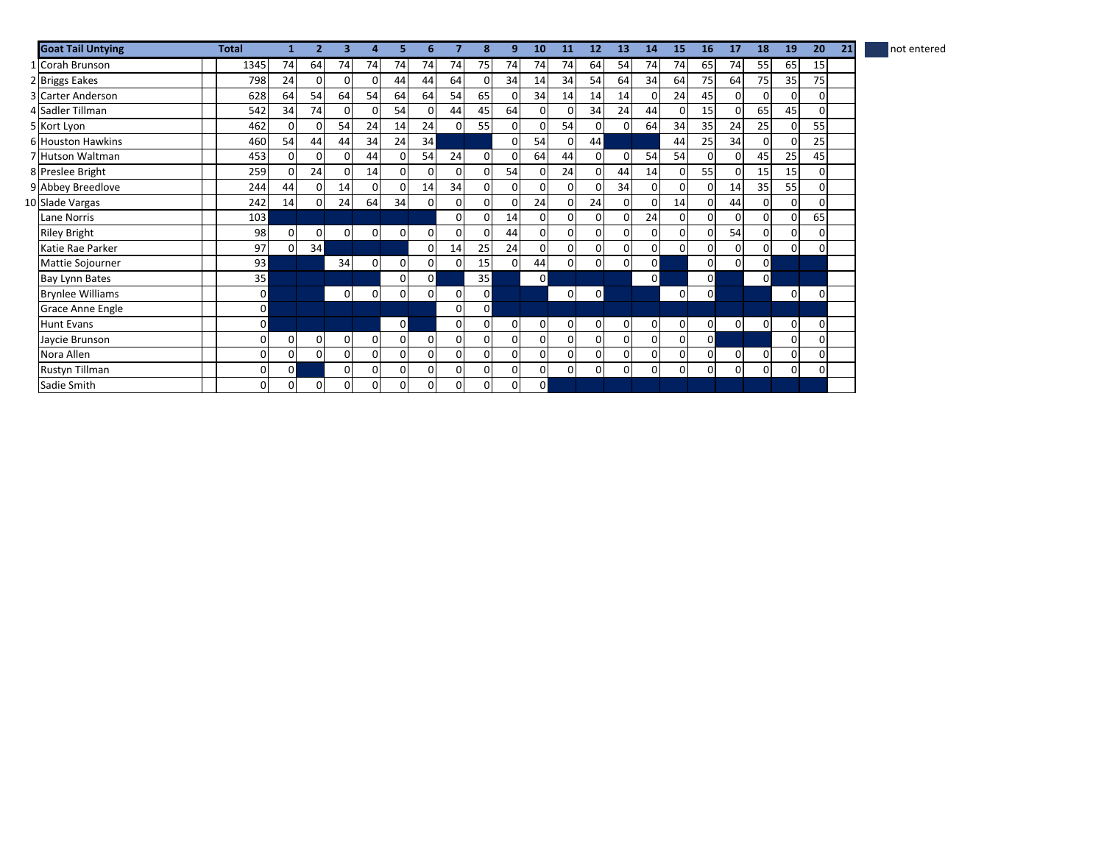| <b>Goat Tail Untying</b> | <b>Total</b>   |          | $\overline{\mathbf{2}}$ | 3              | 4              | 5            | 6            |          |                 | 9              | 10             | <b>11</b>    | 12             | 13       | 14             | 15             | 16           | 17       | 18             | 19             | 20          | 21 | not entered |
|--------------------------|----------------|----------|-------------------------|----------------|----------------|--------------|--------------|----------|-----------------|----------------|----------------|--------------|----------------|----------|----------------|----------------|--------------|----------|----------------|----------------|-------------|----|-------------|
| 1 Corah Brunson          | 1345           | 74       | 64                      | 74             | 74             | 74           | 74           | 74       | 75              | 74             | 74             | 74           | 64             | 54       | 74             | 74             | 65           | 74       | 55             | 65             | 15          |    |             |
| 2 Briggs Eakes           | 798            | 24       | $\mathbf{0}$            | 0              | 0              | 44           | 44           | 64       | 0               | 34             | 14             | 34           | 54             | 64       | 34             | 64             | 75           | 64       | 75             | 35             | 75          |    |             |
| 3 Carter Anderson        | 628            | 64       | 54                      | 64             | 54             | 64           | 64           | 54       | 65              | $\Omega$       | 34             | 14           | 14             | 14       | 0              | 24             | 45           | $\Omega$ | 0              | 0              | 0           |    |             |
| 4 Sadler Tillman         | 542            | 34       | 74                      | ΩI             | $\Omega$       | 54           |              | 44       | 45              | 64             | $\Omega$       | $\Omega$     | 34             | 24       | 44             | $\Omega$       | 15           | $\Omega$ | 65             | 45             | $\Omega$    |    |             |
| 5 Kort Lyon              | 462            | 0        | 0                       | 54             | 24             | 14           | 24           | 0        | 55              | $\overline{0}$ | 01             | 54           | $\overline{0}$ | 0        | 64             | 34             | 35           | 24       | 25             | 0              | 55          |    |             |
| 6 Houston Hawkins        | 460            | 54       | 44                      | 44             | 34             | 24           | 34           |          |                 | $\Omega$       | 54             | $\mathbf 0$  | 44             |          |                | 44             | 25           | 34       | 0              | 0              | 25          |    |             |
| 7 Hutson Waltman         | 453            | $\Omega$ | $\Omega$                | 01             | 44             | 0            | 54           | 24       | $\Omega$        | $\Omega$       | 64             | 44           | $\Omega$       | $\Omega$ | 54             | 54             | $\Omega$     | $\Omega$ | 45             | 25             | 45          |    |             |
| 8 Preslee Bright         | 259            | 0        | 24                      | $\Omega$       | 14             | 0            |              | 0        |                 | 54             | $\Omega$       | 24           | 0              | 44       | 14             | $\Omega$       | 55           | $\Omega$ | 15             | 15             | $\Omega$    |    |             |
| 9 Abbey Breedlove        | 244            | 44       | $\Omega$                | 14             | 0              | 0            | 14           | 34       |                 | $\Omega$       | ΩI             | 0            | 0              | 34       |                | 0              | $\Omega$     | 14       | 35             | 55             | 0           |    |             |
| 10 Slade Vargas          | 242            | 14       | $\overline{0}$          | 24             | 64             | 34           |              | 0        |                 | $\overline{0}$ | 24             | $\mathbf 0$  | 24             | 0        | 0              | 14             | $\mathsf{o}$ | 44       | 0              | 0              | $\Omega$    |    |             |
| Lane Norris              | 103            |          |                         |                |                |              |              | 0        | $\Omega$        | 14             | $\Omega$       | $\mathbf 0$  | 0              | $\Omega$ | 24             | $\Omega$       | 0            | $\Omega$ | $\Omega$       | 0              | 65          |    |             |
| <b>Riley Bright</b>      | 98             | $\Omega$ | $\mathbf 0$             | οI             | $\mathbf{0}$   | 0            |              | $\Omega$ |                 | 44             | $\Omega$       | $\mathbf 0$  | $\Omega$       | $\Omega$ | ΩI             | $\Omega$       | $\Omega$     | 54       | 0              | $\Omega$       | 0           |    |             |
| Katie Rae Parker         | 97             | 0        | 34                      |                |                |              |              | 14       | 25              | 24             | ٥I             | $\mathbf 0$  | 0              | 0        | 0              | 0              | 0            | 0        | 0              | $\Omega$       | 0           |    |             |
| Mattie Sojourner         | 93             |          |                         | 34             | $\mathbf{0}$   | 0            |              | 0        | 15              | $\Omega$       | 44             | 0            | 0              | 0        | 0              |                | 0            | 0        | $\mathbf 0$    |                |             |    |             |
| Bay Lynn Bates           | 35             |          |                         |                |                | 0            | $\mathbf{0}$ |          | 35 <sup>1</sup> |                | $\overline{0}$ |              |                |          | $\overline{0}$ |                | $\Omega$     |          | $\mathsf{o}$   |                |             |    |             |
| <b>Brynlee Williams</b>  | $\overline{0}$ |          |                         | οI             | $\overline{0}$ | 0            |              | 0        | $\mathsf{o}$    |                |                | $\mathbf{0}$ | $\mathbf 0$    |          |                | $\overline{0}$ | $\mathbf 0$  |          |                | $\overline{0}$ | 0           |    |             |
| <b>Grace Anne Engle</b>  | 0              |          |                         |                |                |              |              | 0        | $\mathsf{o}$    |                |                |              |                |          |                |                |              |          |                |                |             |    |             |
| <b>Hunt Evans</b>        | 0              |          |                         |                |                | $\mathbf{0}$ |              | 0        | $\Omega$        | $\overline{0}$ | 0              | 0            | $\mathbf 0$    | 0        | 0              | $\overline{0}$ | 0            | 0        | $\overline{0}$ | $\overline{0}$ | $\mathbf 0$ |    |             |
| Jaycie Brunson           | 0              | 0        | $\overline{0}$          | $\overline{0}$ | $\mathbf{0}$   | 0            |              | 0        | 0               | $\overline{0}$ | $\Omega$       | 0            | 0              | 0        | $\Omega$       | $\overline{0}$ | $\Omega$     |          |                | 0              | 0           |    |             |
| Nora Allen               | $\Omega$       | 0        | $\Omega$                | οI             | $\overline{0}$ | $\Omega$     |              | $\Omega$ | $\Omega$        | $\Omega$       | o١             | 0            | $\overline{0}$ | $\Omega$ | 01             | $\Omega$       | 0            | $\Omega$ | 0              | 0              | $\Omega$    |    |             |
| Rustyn Tillman           | 0              | 0        |                         | 0              | $\mathbf{0}$   | 0            |              | 0        | $\Omega$        | $\overline{0}$ | ٥I             | $\mathbf 0$  | 0              | 0        | 0              | 0              | 0            | ΟI       | 0              | 0              | 0           |    |             |
| Sadie Smith              | $\overline{0}$ | 0        | 0                       | 0              | ٥I             | 0            |              | 0        | 0               | $\overline{0}$ | ٥I             |              |                |          |                |                |              |          |                |                |             |    |             |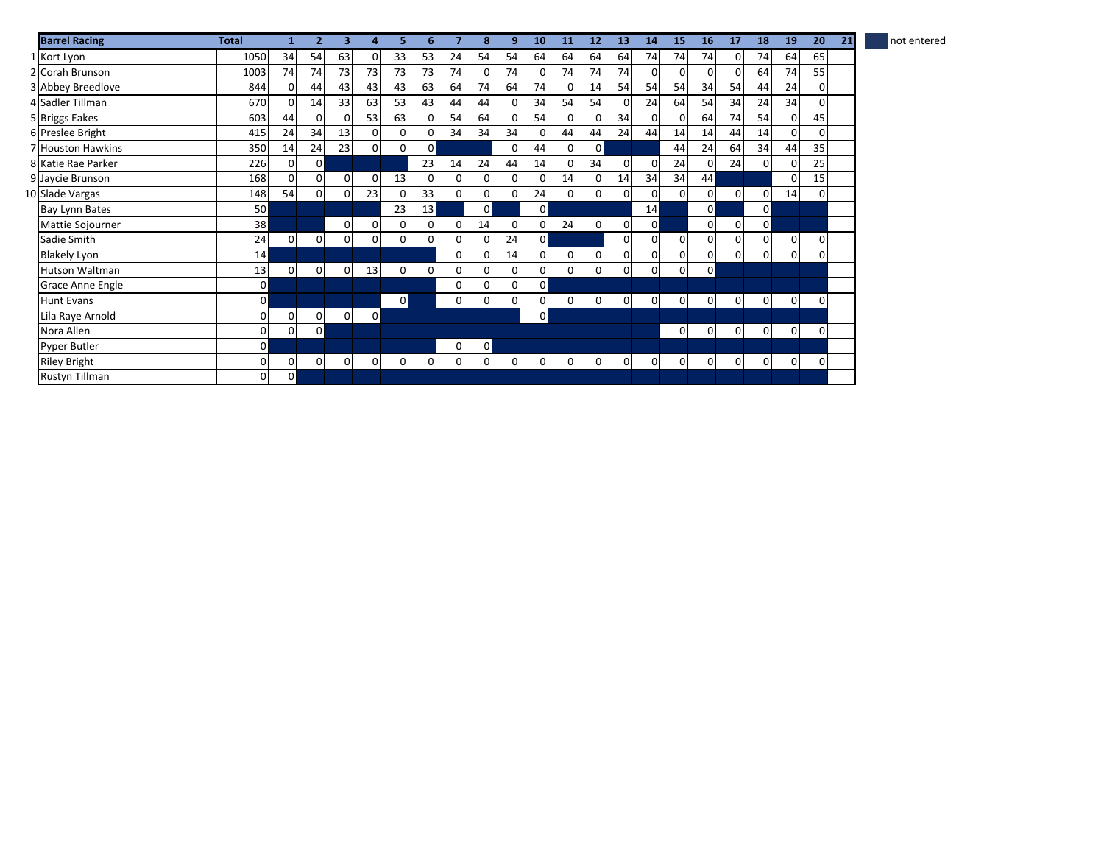| <b>Barrel Racing</b> | <b>Total</b>   |              | $\overline{2}$ | $\overline{\mathbf{3}}$ | 4              | 5              | 6  | 7           | 8              | 9        | 10             | 11       | 12             | 13       | 14             | 15           | <b>16</b>    | 17       | 18             | 19             | 20             | 21 | not entered |
|----------------------|----------------|--------------|----------------|-------------------------|----------------|----------------|----|-------------|----------------|----------|----------------|----------|----------------|----------|----------------|--------------|--------------|----------|----------------|----------------|----------------|----|-------------|
| 1 Kort Lyon          | 1050           | 34           | 54             | 63                      | $\overline{0}$ | 33             | 53 | 24          | 54             | 54       | 64             | 64       | 64             | 64       | 74             | 74           | 74           | 0        | 74             | 64             | 65             |    |             |
| 2 Corah Brunson      | 1003           | 74           | 74             | 73                      | 73             | 73             | 73 | 74          | 0              | 74       | 0              | 74       | 74             | 74       | $\Omega$       | $\Omega$     | $\Omega$     | 0        | 64             | 74             | 55             |    |             |
| 3 Abbey Breedlove    | 844            | $\Omega$     | 44             | 43                      | 43             | 43             | 63 | 64          | 74             | 64       | 74             | $\Omega$ | 14             | 54       | 54             | 54           | 34           | 54       | 44             | 24             | $\Omega$       |    |             |
| 4 Sadler Tillman     | 670            | 0            | 14             | 33                      | 63             | 53             | 43 | 44          | 44             | 0        | 34             | 54       | 54             |          | 24             | 64           | 54           | 34       | 24             | 34             | $\Omega$       |    |             |
| 5 Briggs Eakes       | 603            | 44           | $\Omega$       | $\overline{0}$          | 53             | 63             |    | 54          | 64             | $\Omega$ | 54             | $\Omega$ |                | 34       | $\Omega$       |              | 64           | 74       | 54             | 0              | 45             |    |             |
| 6 Preslee Bright     | 415            | 24           | 34             | 13                      | $\Omega$       | $\Omega$       | n١ | 34          | 34             | 34       | $\Omega$       | 44       | 44             | 24       | 44             | 14           | 14           | 44       | 14             | 0              | $\Omega$       |    |             |
| 7 Houston Hawkins    | 350            | 14           | 24             | 23                      | $\overline{0}$ | $\overline{0}$ | 0  |             |                | $\Omega$ | 44             | $\Omega$ | $\overline{0}$ |          |                | 44           | 24           | 64       | 34             | 44             | 35             |    |             |
| 8 Katie Rae Parker   | 226            | 0            | 01             |                         |                |                | 23 | 14          | 24             | 44       | 14             | $\Omega$ | 34             | $\Omega$ | 0              | 24           | 0            | 24       | 0 I            |                | 25             |    |             |
| 9 Jaycie Brunson     | 168            | $\Omega$     | 0              | $\overline{0}$          | $\overline{0}$ | 13             | 0  | $\Omega$    | $\Omega$       | 0        | 0              | 14       | $\Omega$       | 14       | 34             | 34           | 44           |          |                | 0              | 15             |    |             |
| 10 Slade Vargas      | 148            | 54           | 0              | $\overline{0}$          | 23             | $\Omega$       | 33 | $\Omega$    | $\Omega$       | $\Omega$ | 24             | $\Omega$ | 0              | $\Omega$ | $\Omega$       | $\Omega$     | 0            | $\Omega$ | $\overline{0}$ | 14             | $\mathbf 0$    |    |             |
| Bay Lynn Bates       | 50             |              |                |                         |                | 23             | 13 |             | $\Omega$       |          | $\overline{0}$ |          |                |          | 14             |              | $\Omega$     |          | $\mathbf{0}$   |                |                |    |             |
| Mattie Sojourner     | 38             |              |                | $\overline{0}$          | $\overline{0}$ | $\overline{0}$ | o  | $\Omega$    | 14             | 0        | 0              | 24       | 0              | $\Omega$ | $\Omega$       |              | $\Omega$     | $\Omega$ | $\overline{0}$ |                |                |    |             |
| Sadie Smith          | 24             | $\Omega$     | $\overline{0}$ | $\overline{0}$          | $\overline{0}$ | $\Omega$       | 0  | $\Omega$    | 0              | 24       | $\overline{0}$ |          |                | $\Omega$ | $\Omega$       | $\Omega$     | $\Omega$     | 0        | $\Omega$       | 0              | $\Omega$       |    |             |
| <b>Blakely Lyon</b>  | 14             |              |                |                         |                |                |    | 0           | U              | 14       | 0              | $\Omega$ |                |          | 0              |              | 0            | $\Omega$ | $\mathbf{0}$   | 0              | 0              |    |             |
| Hutson Waltman       | 13             | $\Omega$     | $\overline{0}$ | $\overline{0}$          | 13             | $\mathbf{0}$   | 0  | 0           | $\Omega$       | 0        | 0              | $\Omega$ | 0              |          | $\Omega$       | ٥I           | $\mathbf{0}$ |          |                |                |                |    |             |
| Grace Anne Engle     | $\overline{0}$ |              |                |                         |                |                |    | 0           | 0              | 0        | $\overline{0}$ |          |                |          |                |              |              |          |                |                |                |    |             |
| Hunt Evans           | $\Omega$       |              |                |                         |                | $\mathbf{0}$   |    | $\mathbf 0$ | 0              | ΩI       | 0              | $\Omega$ | $\Omega$       | $\Omega$ | $\overline{0}$ | $\Omega$     | 0            | $\Omega$ | $\overline{0}$ | $\overline{0}$ | $\Omega$       |    |             |
| Lila Raye Arnold     |                | 0            | 0              | $\overline{0}$          | $\mathbf{0}$   |                |    |             |                |          | $\overline{0}$ |          |                |          |                |              |              |          |                |                |                |    |             |
| Nora Allen           |                | 0            | οI             |                         |                |                |    |             |                |          |                |          |                |          |                | $\mathbf{0}$ | $\mathbf 0$  | 0        | $\overline{0}$ | 0              | $\mathbf 0$    |    |             |
| <b>Pyper Butler</b>  | $\mathbf{0}$   |              |                |                         |                |                |    | 0           | $\overline{0}$ |          |                |          |                |          |                |              |              |          |                |                |                |    |             |
| <b>Riley Bright</b>  | 0              | 0            | $\Omega$       | $\overline{0}$          | $\overline{0}$ | $\mathbf{0}$   | 0  | $\mathbf 0$ | $\Omega$       | ΟI       | $\mathbf{0}$   | $\Omega$ | $\Omega$       | $\Omega$ | $\Omega$       | $\Omega$     | $\mathbf 0$  | $\Omega$ | $\overline{0}$ | $\overline{0}$ | $\overline{0}$ |    |             |
| Rustyn Tillman       | $\overline{0}$ | $\mathsf{O}$ |                |                         |                |                |    |             |                |          |                |          |                |          |                |              |              |          |                |                |                |    |             |